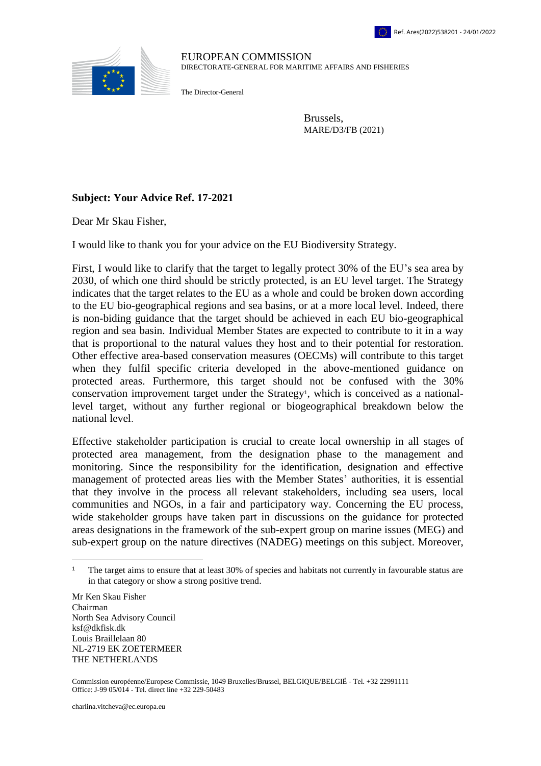

EUROPEAN COMMISSION DIRECTORATE-GENERAL FOR MARITIME AFFAIRS AND FISHERIES

The Director-General

Brussels, MARE/D3/FB (2021)

## **Subject: Your Advice Ref. 17-2021**

Dear Mr Skau Fisher,

I would like to thank you for your advice on the EU Biodiversity Strategy.

First, I would like to clarify that the target to legally protect 30% of the EU's sea area by 2030, of which one third should be strictly protected, is an EU level target. The Strategy indicates that the target relates to the EU as a whole and could be broken down according to the EU bio-geographical regions and sea basins, or at a more local level. Indeed, there is non-biding guidance that the target should be achieved in each EU bio-geographical region and sea basin. Individual Member States are expected to contribute to it in a way that is proportional to the natural values they host and to their potential for restoration. Other effective area-based conservation measures (OECMs) will contribute to this target when they fulfil specific criteria developed in the above-mentioned guidance on protected areas. Furthermore, this target should not be confused with the 30% conservation improvement target under the Strategy<sup>1</sup>, which is conceived as a nationallevel target, without any further regional or biogeographical breakdown below the national level.

Effective stakeholder participation is crucial to create local ownership in all stages of protected area management, from the designation phase to the management and monitoring. Since the responsibility for the identification, designation and effective management of protected areas lies with the Member States' authorities, it is essential that they involve in the process all relevant stakeholders, including sea users, local communities and NGOs, in a fair and participatory way. Concerning the EU process, wide stakeholder groups have taken part in discussions on the guidance for protected areas designations in the framework of the sub-expert group on marine issues (MEG) and sub-expert group on the nature directives (NADEG) meetings on this subject. Moreover,

Mr Ken Skau Fisher Chairman North Sea Advisory Council ksf@dkfisk.dk Louis Braillelaan 80 NL-2719 EK ZOETERMEER THE NETHERLANDS

 $\overline{a}$ 

Commission européenne/Europese Commissie, 1049 Bruxelles/Brussel, BELGIQUE/BELGIË - Tel. +32 22991111 Office: J-99 05/014 ‐ Tel. direct line +32 229-50483

<sup>1</sup> The target aims to ensure that at least 30% of species and habitats not currently in favourable status are in that category or show a strong positive trend.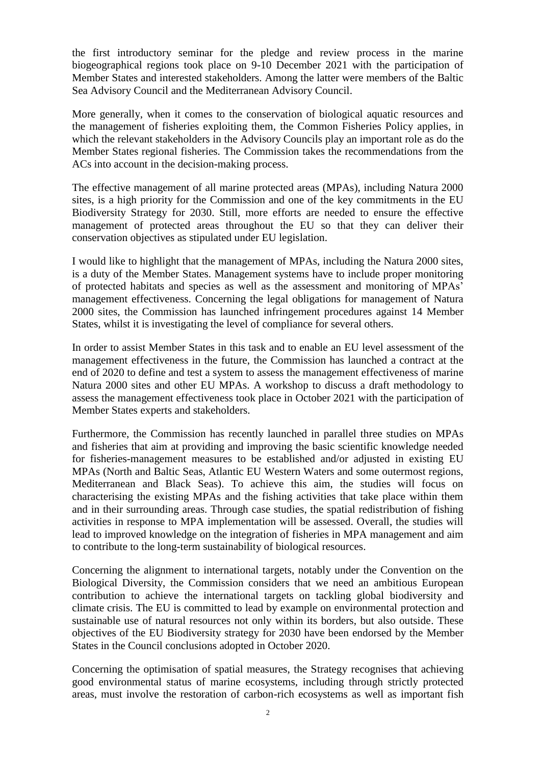the first introductory seminar for the pledge and review process in the marine biogeographical regions took place on 9-10 December 2021 with the participation of Member States and interested stakeholders. Among the latter were members of the Baltic Sea Advisory Council and the Mediterranean Advisory Council.

More generally, when it comes to the conservation of biological aquatic resources and the management of fisheries exploiting them, the Common Fisheries Policy applies, in which the relevant stakeholders in the Advisory Councils play an important role as do the Member States regional fisheries. The Commission takes the recommendations from the ACs into account in the decision-making process.

The effective management of all marine protected areas (MPAs), including Natura 2000 sites, is a high priority for the Commission and one of the key commitments in the EU Biodiversity Strategy for 2030. Still, more efforts are needed to ensure the effective management of protected areas throughout the EU so that they can deliver their conservation objectives as stipulated under EU legislation.

I would like to highlight that the management of MPAs, including the Natura 2000 sites, is a duty of the Member States. Management systems have to include proper monitoring of protected habitats and species as well as the assessment and monitoring of MPAs' management effectiveness. Concerning the legal obligations for management of Natura 2000 sites, the Commission has launched infringement procedures against 14 Member States, whilst it is investigating the level of compliance for several others.

In order to assist Member States in this task and to enable an EU level assessment of the management effectiveness in the future, the Commission has launched a contract at the end of 2020 to define and test a system to assess the management effectiveness of marine Natura 2000 sites and other EU MPAs. A workshop to discuss a draft methodology to assess the management effectiveness took place in October 2021 with the participation of Member States experts and stakeholders.

Furthermore, the Commission has recently launched in parallel three studies on MPAs and fisheries that aim at providing and improving the basic scientific knowledge needed for fisheries-management measures to be established and/or adjusted in existing EU MPAs (North and Baltic Seas, Atlantic EU Western Waters and some outermost regions, Mediterranean and Black Seas). To achieve this aim, the studies will focus on characterising the existing MPAs and the fishing activities that take place within them and in their surrounding areas. Through case studies, the spatial redistribution of fishing activities in response to MPA implementation will be assessed. Overall, the studies will lead to improved knowledge on the integration of fisheries in MPA management and aim to contribute to the long-term sustainability of biological resources.

Concerning the alignment to international targets, notably under the Convention on the Biological Diversity, the Commission considers that we need an ambitious European contribution to achieve the international targets on tackling global biodiversity and climate crisis. The EU is committed to lead by example on environmental protection and sustainable use of natural resources not only within its borders, but also outside. These objectives of the EU Biodiversity strategy for 2030 have been endorsed by the Member States in the Council conclusions adopted in October 2020.

Concerning the optimisation of spatial measures, the Strategy recognises that achieving good environmental status of marine ecosystems, including through strictly protected areas, must involve the restoration of carbon-rich ecosystems as well as important fish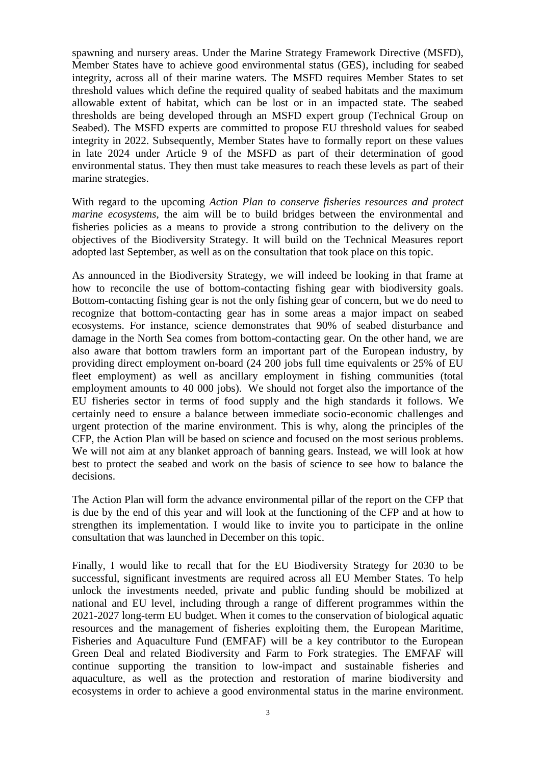spawning and nursery areas. Under the Marine Strategy Framework Directive (MSFD), Member States have to achieve good environmental status (GES), including for seabed integrity, across all of their marine waters. The MSFD requires Member States to set threshold values which define the required quality of seabed habitats and the maximum allowable extent of habitat, which can be lost or in an impacted state. The seabed thresholds are being developed through an MSFD expert group (Technical Group on Seabed). The MSFD experts are committed to propose EU threshold values for seabed integrity in 2022. Subsequently, Member States have to formally report on these values in late 2024 under Article 9 of the MSFD as part of their determination of good environmental status. They then must take measures to reach these levels as part of their marine strategies.

With regard to the upcoming *Action Plan to conserve fisheries resources and protect marine ecosystems*, the aim will be to build bridges between the environmental and fisheries policies as a means to provide a strong contribution to the delivery on the objectives of the Biodiversity Strategy. It will build on the Technical Measures report adopted last September, as well as on the consultation that took place on this topic.

As announced in the Biodiversity Strategy, we will indeed be looking in that frame at how to reconcile the use of bottom-contacting fishing gear with biodiversity goals. Bottom-contacting fishing gear is not the only fishing gear of concern, but we do need to recognize that bottom-contacting gear has in some areas a major impact on seabed ecosystems. For instance, science demonstrates that 90% of seabed disturbance and damage in the North Sea comes from bottom-contacting gear. On the other hand, we are also aware that bottom trawlers form an important part of the European industry, by providing direct employment on-board (24 200 jobs full time equivalents or 25% of EU fleet employment) as well as ancillary employment in fishing communities (total employment amounts to 40 000 jobs). We should not forget also the importance of the EU fisheries sector in terms of food supply and the high standards it follows. We certainly need to ensure a balance between immediate socio-economic challenges and urgent protection of the marine environment. This is why, along the principles of the CFP, the Action Plan will be based on science and focused on the most serious problems. We will not aim at any blanket approach of banning gears. Instead, we will look at how best to protect the seabed and work on the basis of science to see how to balance the decisions.

The Action Plan will form the advance environmental pillar of the report on the CFP that is due by the end of this year and will look at the functioning of the CFP and at how to strengthen its implementation. I would like to invite you to participate in the online consultation that was launched in December on this topic.

Finally, I would like to recall that for the EU Biodiversity Strategy for 2030 to be successful, significant investments are required across all EU Member States. To help unlock the investments needed, private and public funding should be mobilized at national and EU level, including through a range of different programmes within the 2021-2027 long-term EU budget. When it comes to the conservation of biological aquatic resources and the management of fisheries exploiting them, the European Maritime, Fisheries and Aquaculture Fund (EMFAF) will be a key contributor to the European Green Deal and related Biodiversity and Farm to Fork strategies. The EMFAF will continue supporting the transition to low-impact and sustainable fisheries and aquaculture, as well as the protection and restoration of marine biodiversity and ecosystems in order to achieve a good environmental status in the marine environment.